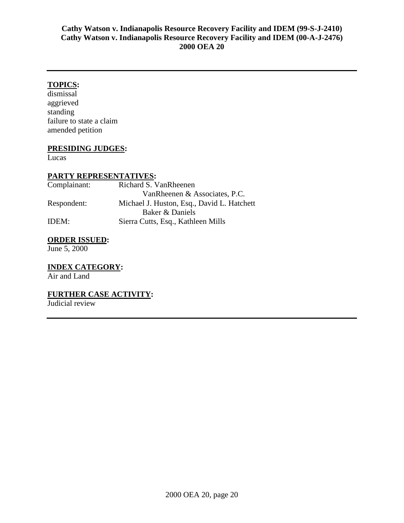# **TOPICS:**

dismissal aggrieved standing failure to state a claim amended petition

#### **PRESIDING JUDGES:**

Lucas

# **PARTY REPRESENTATIVES:**

| Complainant: | Richard S. VanRheenen                      |
|--------------|--------------------------------------------|
|              | VanRheenen & Associates, P.C.              |
| Respondent:  | Michael J. Huston, Esq., David L. Hatchett |
|              | Baker & Daniels                            |
| IDEM:        | Sierra Cutts, Esq., Kathleen Mills         |

# **ORDER ISSUED:**

June 5, 2000

**INDEX CATEGORY:**  Air and Land

# **FURTHER CASE ACTIVITY:**

Judicial review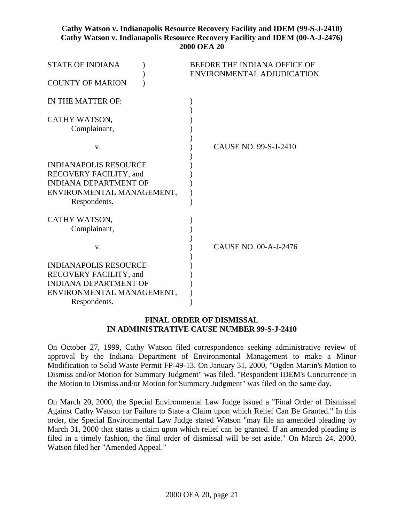| <b>STATE OF INDIANA</b><br><b>COUNTY OF MARION</b>                                                                                  | BEFORE THE INDIANA OFFICE OF<br>ENVIRONMENTAL ADJUDICATION |
|-------------------------------------------------------------------------------------------------------------------------------------|------------------------------------------------------------|
| IN THE MATTER OF:                                                                                                                   |                                                            |
| CATHY WATSON,<br>Complainant,                                                                                                       |                                                            |
| V.                                                                                                                                  | CAUSE NO. 99-S-J-2410                                      |
| <b>INDIANAPOLIS RESOURCE</b><br>RECOVERY FACILITY, and<br><b>INDIANA DEPARTMENT OF</b><br>ENVIRONMENTAL MANAGEMENT,<br>Respondents. |                                                            |
| CATHY WATSON,<br>Complainant,                                                                                                       |                                                            |
| V.                                                                                                                                  | CAUSE NO. 00-A-J-2476                                      |
| <b>INDIANAPOLIS RESOURCE</b><br>RECOVERY FACILITY, and<br><b>INDIANA DEPARTMENT OF</b><br>ENVIRONMENTAL MANAGEMENT,<br>Respondents. |                                                            |

#### **FINAL ORDER OF DISMISSAL IN ADMINISTRATIVE CAUSE NUMBER 99-S-J-2410**

On October 27, 1999, Cathy Watson filed correspondence seeking administrative review of approval by the Indiana Department of Environmental Management to make a Minor Modification to Solid Waste Permit FP-49-13. On January 31, 2000, "Ogden Martin's Motion to Dismiss and/or Motion for Summary Judgment" was filed. "Respondent IDEM's Concurrence in the Motion to Dismiss and/or Motion for Summary Judgment" was filed on the same day.

On March 20, 2000, the Special Environmental Law Judge issued a "Final Order of Dismissal Against Cathy Watson for Failure to State a Claim upon which Relief Can Be Granted." In this order, the Special Environmental Law Judge stated Watson "may file an amended pleading by March 31, 2000 that states a claim upon which relief can be granted. If an amended pleading is filed in a timely fashion, the final order of dismissal will be set aside." On March 24, 2000, Watson filed her "Amended Appeal."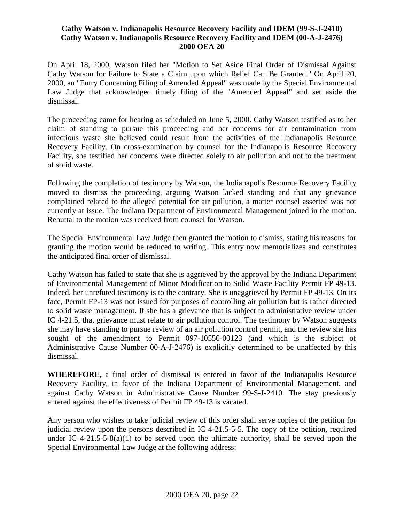On April 18, 2000, Watson filed her "Motion to Set Aside Final Order of Dismissal Against Cathy Watson for Failure to State a Claim upon which Relief Can Be Granted." On April 20, 2000, an "Entry Concerning Filing of Amended Appeal" was made by the Special Environmental Law Judge that acknowledged timely filing of the "Amended Appeal" and set aside the dismissal.

The proceeding came for hearing as scheduled on June 5, 2000. Cathy Watson testified as to her claim of standing to pursue this proceeding and her concerns for air contamination from infectious waste she believed could result from the activities of the Indianapolis Resource Recovery Facility. On cross-examination by counsel for the Indianapolis Resource Recovery Facility, she testified her concerns were directed solely to air pollution and not to the treatment of solid waste.

Following the completion of testimony by Watson, the Indianapolis Resource Recovery Facility moved to dismiss the proceeding, arguing Watson lacked standing and that any grievance complained related to the alleged potential for air pollution, a matter counsel asserted was not currently at issue. The Indiana Department of Environmental Management joined in the motion. Rebuttal to the motion was received from counsel for Watson.

The Special Environmental Law Judge then granted the motion to dismiss, stating his reasons for granting the motion would be reduced to writing. This entry now memorializes and constitutes the anticipated final order of dismissal.

Cathy Watson has failed to state that she is aggrieved by the approval by the Indiana Department of Environmental Management of Minor Modification to Solid Waste Facility Permit FP 49-13. Indeed, her unrefuted testimony is to the contrary. She is unaggrieved by Permit FP 49-13. On its face, Permit FP-13 was not issued for purposes of controlling air pollution but is rather directed to solid waste management. If she has a grievance that is subject to administrative review under IC 4-21.5, that grievance must relate to air pollution control. The testimony by Watson suggests she may have standing to pursue review of an air pollution control permit, and the review she has sought of the amendment to Permit 097-10550-00123 (and which is the subject of Administrative Cause Number 00-A-J-2476) is explicitly determined to be unaffected by this dismissal.

**WHEREFORE,** a final order of dismissal is entered in favor of the Indianapolis Resource Recovery Facility, in favor of the Indiana Department of Environmental Management, and against Cathy Watson in Administrative Cause Number 99-S-J-2410. The stay previously entered against the effectiveness of Permit FP 49-13 is vacated.

Any person who wishes to take judicial review of this order shall serve copies of the petition for judicial review upon the persons described in IC 4-21.5-5-5. The copy of the petition, required under IC 4-21.5-5-8(a)(1) to be served upon the ultimate authority, shall be served upon the Special Environmental Law Judge at the following address: